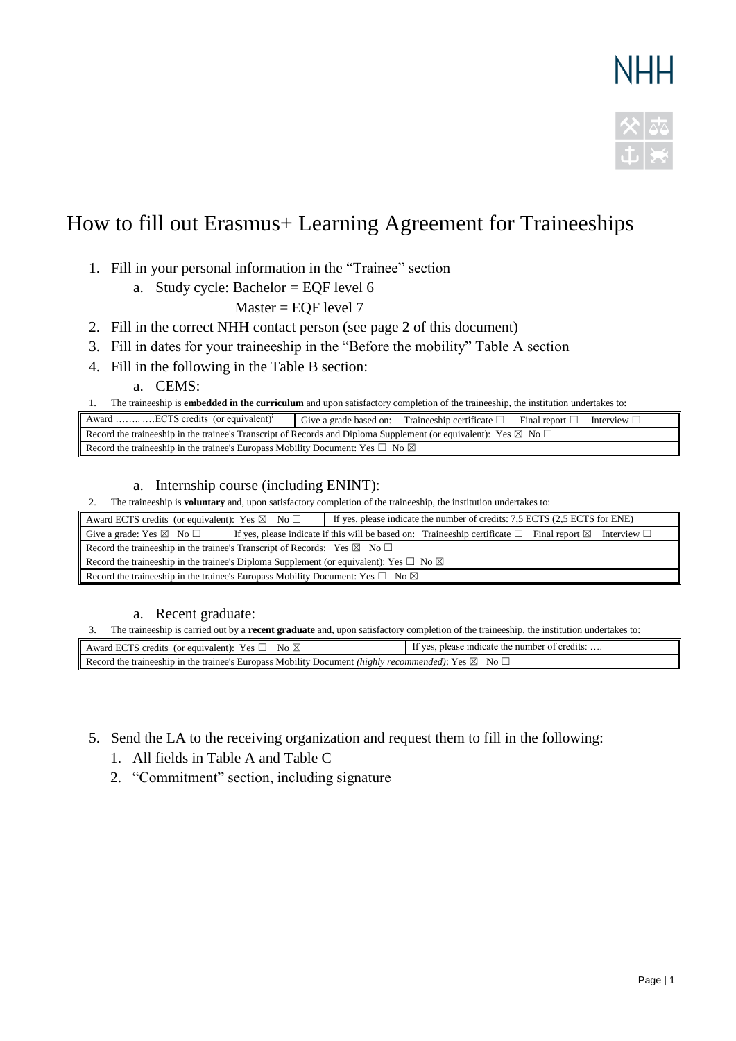# **NHH**



## How to fill out Erasmus+ Learning Agreement for Traineeships

- 1. Fill in your personal information in the "Trainee" section
	- a. Study cycle: Bachelor = EQF level 6
		- Master = EQF level 7
- 2. Fill in the correct NHH contact person (see page 2 of this document)
- 3. Fill in dates for your traineeship in the "Before the mobility" Table A section
- 4. Fill in the following in the Table B section:

a. CEMS:

1. The traineeship is **embedded in the curriculum** and upon satisfactory completion of the traineeship, the institution undertakes to:

| ECTS credits (or equivalent) <sup>1</sup><br>Award                                                                                 | Give a grade based on: | Traineeship certificate $\square$ | Final report [ | Interview L |  |  |  |
|------------------------------------------------------------------------------------------------------------------------------------|------------------------|-----------------------------------|----------------|-------------|--|--|--|
| Record the traineeship in the trainee's Transcript of Records and Diploma Supplement (or equivalent): Yes $\boxtimes$ No $\square$ |                        |                                   |                |             |  |  |  |
| Record the traineeship in the trainee's Europass Mobility Document: Yes $\square$ No $\boxtimes$                                   |                        |                                   |                |             |  |  |  |

a. Internship course (including ENINT):

2. The traineeship is **voluntary** and, upon satisfactory completion of the traineeship, the institution undertakes to:

| If yes, please indicate the number of credits: 7,5 ECTS (2,5 ECTS for ENE)<br>Award ECTS credits (or equivalent): Yes $\boxtimes$ No $\Box$ |  |                                                                                                                            |  |  |  |
|---------------------------------------------------------------------------------------------------------------------------------------------|--|----------------------------------------------------------------------------------------------------------------------------|--|--|--|
| Give a grade: Yes $\boxtimes$ No $\square$                                                                                                  |  | If yes, please indicate if this will be based on: Traineeship certificate $\Box$ Final report $\boxtimes$ Interview $\Box$ |  |  |  |
| Record the traineeship in the trainee's Transcript of Records: Yes $\boxtimes$ No $\Box$                                                    |  |                                                                                                                            |  |  |  |
| Record the traineeship in the trainee's Diploma Supplement (or equivalent): Yes $\Box$ No $\boxtimes$                                       |  |                                                                                                                            |  |  |  |
| Record the traineeship in the trainee's Europass Mobility Document: Yes $\square$ No $\boxtimes$                                            |  |                                                                                                                            |  |  |  |

a. Recent graduate:

3. The traineeship is carried out by a **recent graduate** and, upon satisfactory completion of the traineeship, the institution undertakes to:

| No $\boxtimes$<br>Award ECTS credits (or equivalent): Yes $\Box$                                                           | If yes, please indicate the number of credits: |  |  |  |
|----------------------------------------------------------------------------------------------------------------------------|------------------------------------------------|--|--|--|
| Record the traineeship in the trainee's Europass Mobility Document <i>(highly recommended)</i> : Yes $\boxtimes$ No $\Box$ |                                                |  |  |  |

- 5. Send the LA to the receiving organization and request them to fill in the following:
	- 1. All fields in Table A and Table C
	- 2. "Commitment" section, including signature